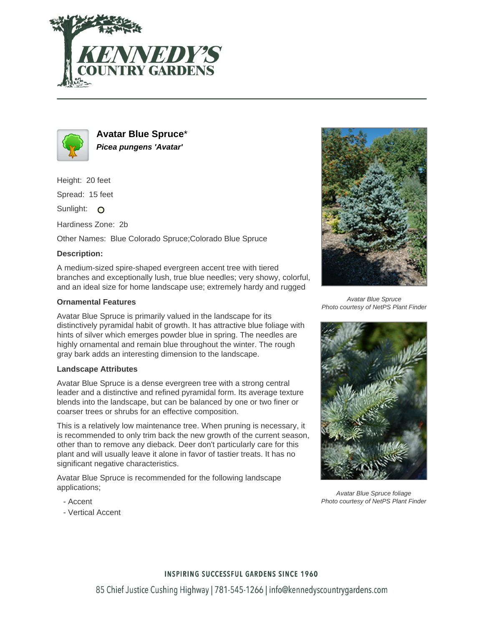



**Avatar Blue Spruce**\* **Picea pungens 'Avatar'**

Height: 20 feet

Spread: 15 feet

Sunlight: O

Hardiness Zone: 2b

Other Names: Blue Colorado Spruce;Colorado Blue Spruce

## **Description:**

A medium-sized spire-shaped evergreen accent tree with tiered branches and exceptionally lush, true blue needles; very showy, colorful, and an ideal size for home landscape use; extremely hardy and rugged

## **Ornamental Features**

Avatar Blue Spruce is primarily valued in the landscape for its distinctively pyramidal habit of growth. It has attractive blue foliage with hints of silver which emerges powder blue in spring. The needles are highly ornamental and remain blue throughout the winter. The rough gray bark adds an interesting dimension to the landscape.

## **Landscape Attributes**

Avatar Blue Spruce is a dense evergreen tree with a strong central leader and a distinctive and refined pyramidal form. Its average texture blends into the landscape, but can be balanced by one or two finer or coarser trees or shrubs for an effective composition.

This is a relatively low maintenance tree. When pruning is necessary, it is recommended to only trim back the new growth of the current season, other than to remove any dieback. Deer don't particularly care for this plant and will usually leave it alone in favor of tastier treats. It has no significant negative characteristics.

Avatar Blue Spruce is recommended for the following landscape applications;



Avatar Blue Spruce Photo courtesy of NetPS Plant Finder



Avatar Blue Spruce foliage Photo courtesy of NetPS Plant Finder

- Accent
- Vertical Accent